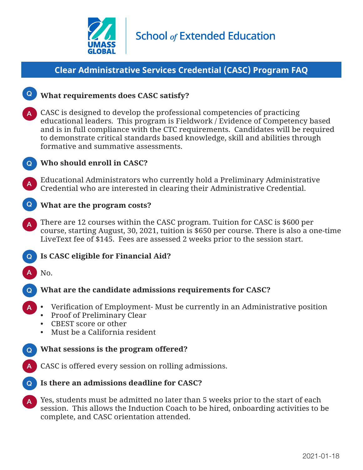

# **Clear Administrative Services Credential (CASC) Program FAQ**



### **What requirements does CASC satisfy?** Q

- CASC is designed to develop the professional competencies of practicing educational leaders. This program is Fieldwork / Evidence of Competency based and is in full compliance with the CTC requirements. Candidates will be required to demonstrate critical standards based knowledge, skill and abilities through formative and summative assessments. A
- **Who should enroll in CASC?** Q
	- Educational Administrators who currently hold a Preliminary Administrative Credential who are interested in clearing their Administrative Credential.



A

#### **What are the program costs?** Q

- There are 12 courses within the CASC program. Tuition for CASC is \$600 per course, starting August, 30, 2021, tuition is \$650 per course. There is also a one-time LiveText fee of \$145. Fees are assessed 2 weeks prior to the session start. A
- **Is CASC eligible for Financial Aid?** Q
- No. A

Q

A

#### **What are the candidate admissions requirements for CASC?**

- Verification of Employment- Must be currently in an Administrative position A
	- Proof of Preliminary Clear
	- CBEST score or other
	- Must be a California resident

#### **What sessions is the program offered?** Q

- CASC is offered every session on rolling admissions.
- **Is there an admissions deadline for CASC?** Q
- Yes, students must be admitted no later than 5 weeks prior to the start of each session. This allows the Induction Coach to be hired, onboarding activities to be complete, and CASC orientation attended. A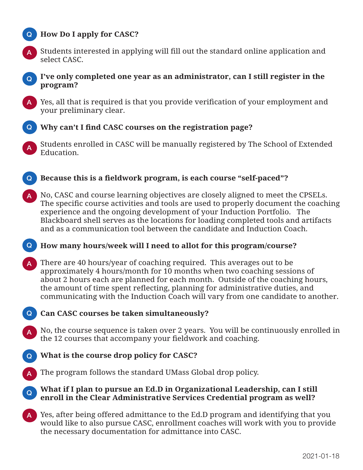## **How Do I apply for CASC?** Q



Students interested in applying will fill out the standard online application and select CASC.

A

#### **I've only completed one year as an administrator, can I still register in the**  Q **program?**

A Yes, all that is required is that you provide verification of your employment and your preliminary clear.



Students enrolled in CASC will be manually registered by The School of Extended Education. A

- **Because this is a fieldwork program, is each course "self-paced"?** Q
- No, CASC and course learning objectives are closely aligned to meet the CPSELs. The specific course activities and tools are used to properly document the coaching experience and the ongoing development of your Induction Portfolio. The Blackboard shell serves as the locations for loading completed tools and artifacts and as a communication tool between the candidate and Induction Coach. A

#### **How many hours/week will I need to allot for this program/course?** Q

- There are 40 hours/year of coaching required. This averages out to be approximately 4 hours/month for 10 months when two coaching sessions of about 2 hours each are planned for each month. Outside of the coaching hours, the amount of time spent reflecting, planning for administrative duties, and communicating with the Induction Coach will vary from one candidate to another. A
- **Can CASC courses be taken simultaneously?** Q
	- No, the course sequence is taken over 2 years. You will be continuously enrolled in the 12 courses that accompany your fieldwork and coaching.
- **What is the course drop policy for CASC?** Q
- The program follows the standard UMass Global drop policy. A

#### **What if I plan to pursue an Ed.D in Organizational Leadership, can I still enroll in the Clear Administrative Services Credential program as well?** Q

A Yes, after being offered admittance to the Ed.D program and identifying that you would like to also pursue CASC, enrollment coaches will work with you to provide the necessary documentation for admittance into CASC.